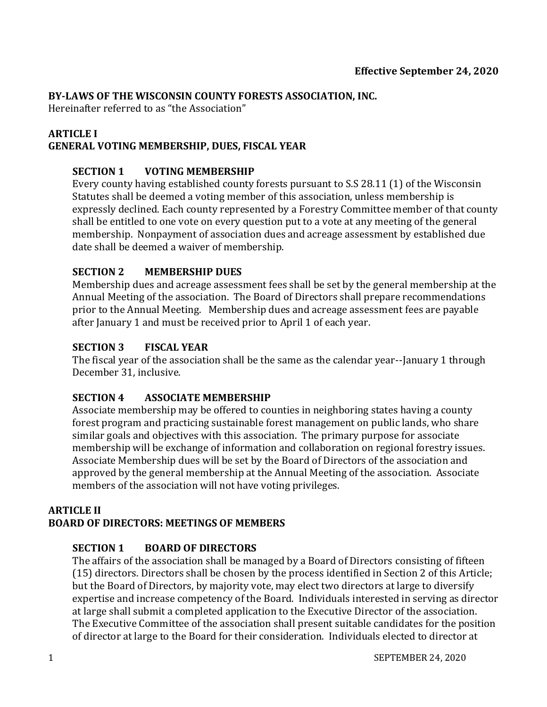#### **BY-LAWS OF THE WISCONSIN COUNTY FORESTS ASSOCIATION, INC.**

Hereinafter referred to as "the Association"

#### **ARTICLE I**

#### **GENERAL VOTING MEMBERSHIP, DUES, FISCAL YEAR**

#### **SECTION 1 VOTING MEMBERSHIP**

Every county having established county forests pursuant to S.S 28.11 (1) of the Wisconsin Statutes shall be deemed a voting member of this association, unless membership is expressly declined. Each county represented by a Forestry Committee member of that county shall be entitled to one vote on every question put to a vote at any meeting of the general membership. Nonpayment of association dues and acreage assessment by established due date shall be deemed a waiver of membership.

#### **SECTION 2 MEMBERSHIP DUES**

Membership dues and acreage assessment fees shall be set by the general membership at the Annual Meeting of the association. The Board of Directors shall prepare recommendations prior to the Annual Meeting. Membership dues and acreage assessment fees are payable after January 1 and must be received prior to April 1 of each year.

#### **SECTION 3 FISCAL YEAR**

The fiscal year of the association shall be the same as the calendar year--January 1 through December 31, inclusive.

### **SECTION 4 ASSOCIATE MEMBERSHIP**

Associate membership may be offered to counties in neighboring states having a county forest program and practicing sustainable forest management on public lands, who share similar goals and objectives with this association. The primary purpose for associate membership will be exchange of information and collaboration on regional forestry issues. Associate Membership dues will be set by the Board of Directors of the association and approved by the general membership at the Annual Meeting of the association. Associate members of the association will not have voting privileges.

#### **ARTICLE II BOARD OF DIRECTORS: MEETINGS OF MEMBERS**

### **SECTION 1 BOARD OF DIRECTORS**

The affairs of the association shall be managed by a Board of Directors consisting of fifteen (15) directors. Directors shall be chosen by the process identified in Section 2 of this Article; but the Board of Directors, by majority vote, may elect two directors at large to diversify expertise and increase competency of the Board. Individuals interested in serving as director at large shall submit a completed application to the Executive Director of the association. The Executive Committee of the association shall present suitable candidates for the position of director at large to the Board for their consideration. Individuals elected to director at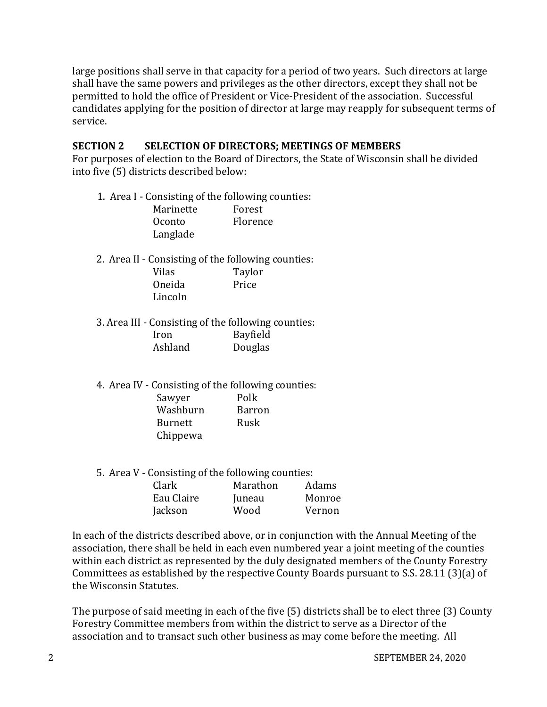large positions shall serve in that capacity for a period of two years. Such directors at large shall have the same powers and privileges as the other directors, except they shall not be permitted to hold the office of President or Vice-President of the association. Successful candidates applying for the position of director at large may reapply for subsequent terms of service.

#### **SECTION 2 SELECTION OF DIRECTORS; MEETINGS OF MEMBERS**

For purposes of election to the Board of Directors, the State of Wisconsin shall be divided into five (5) districts described below:

- 1. Area I Consisting of the following counties: Marinette Forest Oconto Florence Langlade
- 2. Area II Consisting of the following counties: Vilas Taylor Oneida Price Lincoln
- 3. Area III Consisting of the following counties: Iron Bayfield Ashland Douglas
- 4. Area IV Consisting of the following counties: Sawyer Polk Washburn Barron Burnett Rusk Chippewa
- 5. Area V Consisting of the following counties:

| Clark      | Marathon | Adams  |
|------------|----------|--------|
| Eau Claire | Juneau   | Monroe |
| Jackson    | Wood     | Vernon |

In each of the districts described above,  $\theta$  in conjunction with the Annual Meeting of the association, there shall be held in each even numbered year a joint meeting of the counties within each district as represented by the duly designated members of the County Forestry Committees as established by the respective County Boards pursuant to S.S. 28.11 (3)(a) of the Wisconsin Statutes.

The purpose of said meeting in each of the five (5) districts shall be to elect three (3) County Forestry Committee members from within the district to serve as a Director of the association and to transact such other business as may come before the meeting. All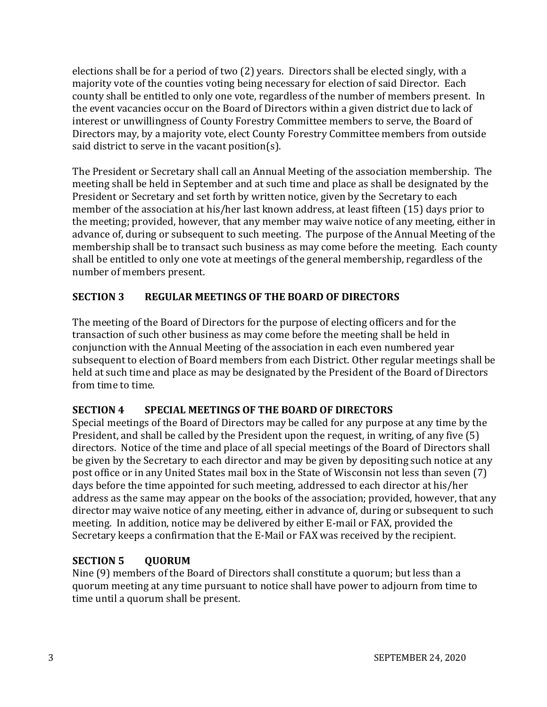elections shall be for a period of two (2) years. Directors shall be elected singly, with a majority vote of the counties voting being necessary for election of said Director. Each county shall be entitled to only one vote, regardless of the number of members present. In the event vacancies occur on the Board of Directors within a given district due to lack of interest or unwillingness of County Forestry Committee members to serve, the Board of Directors may, by a majority vote, elect County Forestry Committee members from outside said district to serve in the vacant position(s).

The President or Secretary shall call an Annual Meeting of the association membership. The meeting shall be held in September and at such time and place as shall be designated by the President or Secretary and set forth by written notice, given by the Secretary to each member of the association at his/her last known address, at least fifteen (15) days prior to the meeting; provided, however, that any member may waive notice of any meeting, either in advance of, during or subsequent to such meeting. The purpose of the Annual Meeting of the membership shall be to transact such business as may come before the meeting. Each county shall be entitled to only one vote at meetings of the general membership, regardless of the number of members present.

# **SECTION 3 REGULAR MEETINGS OF THE BOARD OF DIRECTORS**

The meeting of the Board of Directors for the purpose of electing officers and for the transaction of such other business as may come before the meeting shall be held in conjunction with the Annual Meeting of the association in each even numbered year subsequent to election of Board members from each District. Other regular meetings shall be held at such time and place as may be designated by the President of the Board of Directors from time to time.

# **SECTION 4 SPECIAL MEETINGS OF THE BOARD OF DIRECTORS**

Special meetings of the Board of Directors may be called for any purpose at any time by the President, and shall be called by the President upon the request, in writing, of any five (5) directors. Notice of the time and place of all special meetings of the Board of Directors shall be given by the Secretary to each director and may be given by depositing such notice at any post office or in any United States mail box in the State of Wisconsin not less than seven (7) days before the time appointed for such meeting, addressed to each director at his/her address as the same may appear on the books of the association; provided, however, that any director may waive notice of any meeting, either in advance of, during or subsequent to such meeting. In addition, notice may be delivered by either E-mail or FAX, provided the Secretary keeps a confirmation that the E-Mail or FAX was received by the recipient.

# **SECTION 5 QUORUM**

Nine (9) members of the Board of Directors shall constitute a quorum; but less than a quorum meeting at any time pursuant to notice shall have power to adjourn from time to time until a quorum shall be present.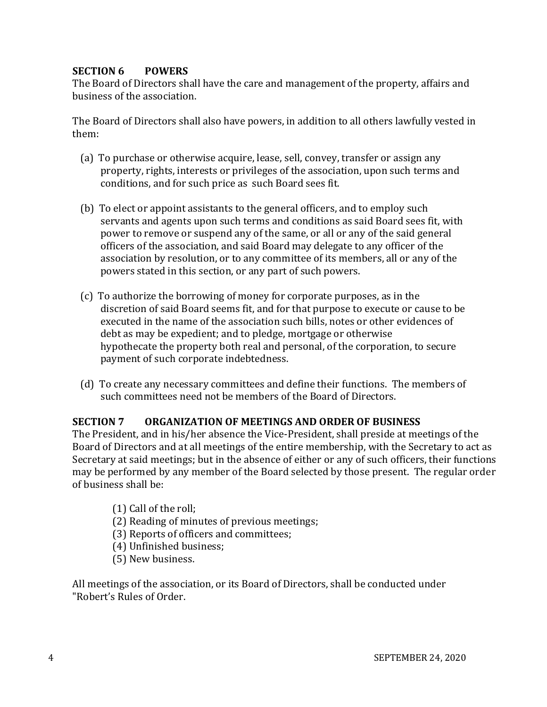### **SECTION 6 POWERS**

The Board of Directors shall have the care and management of the property, affairs and business of the association.

The Board of Directors shall also have powers, in addition to all others lawfully vested in them:

- (a) To purchase or otherwise acquire, lease, sell, convey, transfer or assign any property, rights, interests or privileges of the association, upon such terms and conditions, and for such price as such Board sees fit.
- (b) To elect or appoint assistants to the general officers, and to employ such servants and agents upon such terms and conditions as said Board sees fit, with power to remove or suspend any of the same, or all or any of the said general officers of the association, and said Board may delegate to any officer of the association by resolution, or to any committee of its members, all or any of the powers stated in this section, or any part of such powers.
- (c) To authorize the borrowing of money for corporate purposes, as in the discretion of said Board seems fit, and for that purpose to execute or cause to be executed in the name of the association such bills, notes or other evidences of debt as may be expedient; and to pledge, mortgage or otherwise hypothecate the property both real and personal, of the corporation, to secure payment of such corporate indebtedness.
- (d) To create any necessary committees and define their functions. The members of such committees need not be members of the Board of Directors.

### **SECTION 7 ORGANIZATION OF MEETINGS AND ORDER OF BUSINESS**

The President, and in his/her absence the Vice-President, shall preside at meetings of the Board of Directors and at all meetings of the entire membership, with the Secretary to act as Secretary at said meetings; but in the absence of either or any of such officers, their functions may be performed by any member of the Board selected by those present. The regular order of business shall be:

- (1) Call of the roll;
- (2) Reading of minutes of previous meetings;
- (3) Reports of officers and committees;
- (4) Unfinished business;
- (5) New business.

All meetings of the association, or its Board of Directors, shall be conducted under "Robert's Rules of Order.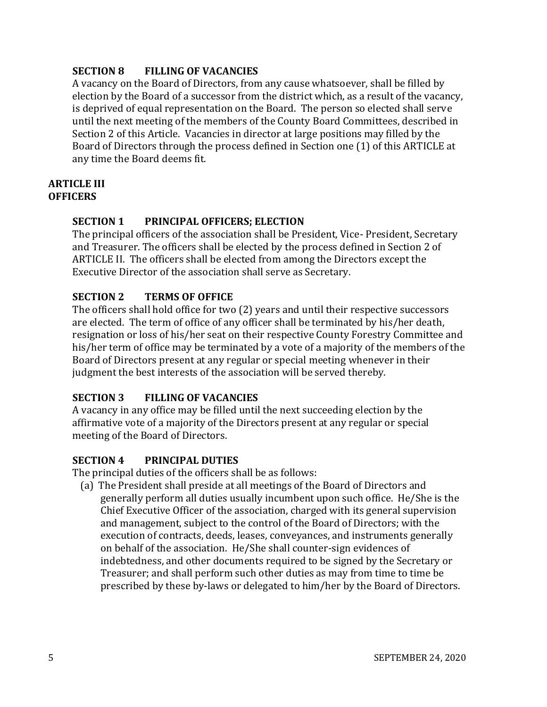## **SECTION 8 FILLING OF VACANCIES**

A vacancy on the Board of Directors, from any cause whatsoever, shall be filled by election by the Board of a successor from the district which, as a result of the vacancy, is deprived of equal representation on the Board. The person so elected shall serve until the next meeting of the members of the County Board Committees, described in Section 2 of this Article. Vacancies in director at large positions may filled by the Board of Directors through the process defined in Section one (1) of this ARTICLE at any time the Board deems fit.

#### **ARTICLE III OFFICERS**

# **SECTION 1 PRINCIPAL OFFICERS; ELECTION**

The principal officers of the association shall be President, Vice- President, Secretary and Treasurer. The officers shall be elected by the process defined in Section 2 of ARTICLE II. The officers shall be elected from among the Directors except the Executive Director of the association shall serve as Secretary.

# **SECTION 2 TERMS OF OFFICE**

The officers shall hold office for two (2) years and until their respective successors are elected. The term of office of any officer shall be terminated by his/her death, resignation or loss of his/her seat on their respective County Forestry Committee and his/her term of office may be terminated by a vote of a majority of the members of the Board of Directors present at any regular or special meeting whenever in their judgment the best interests of the association will be served thereby.

## **SECTION 3 FILLING OF VACANCIES**

A vacancy in any office may be filled until the next succeeding election by the affirmative vote of a majority of the Directors present at any regular or special meeting of the Board of Directors.

## **SECTION 4 PRINCIPAL DUTIES**

The principal duties of the officers shall be as follows:

(a) The President shall preside at all meetings of the Board of Directors and generally perform all duties usually incumbent upon such office. He/She is the Chief Executive Officer of the association, charged with its general supervision and management, subject to the control of the Board of Directors; with the execution of contracts, deeds, leases, conveyances, and instruments generally on behalf of the association. He/She shall counter-sign evidences of indebtedness, and other documents required to be signed by the Secretary or Treasurer; and shall perform such other duties as may from time to time be prescribed by these by-laws or delegated to him/her by the Board of Directors.